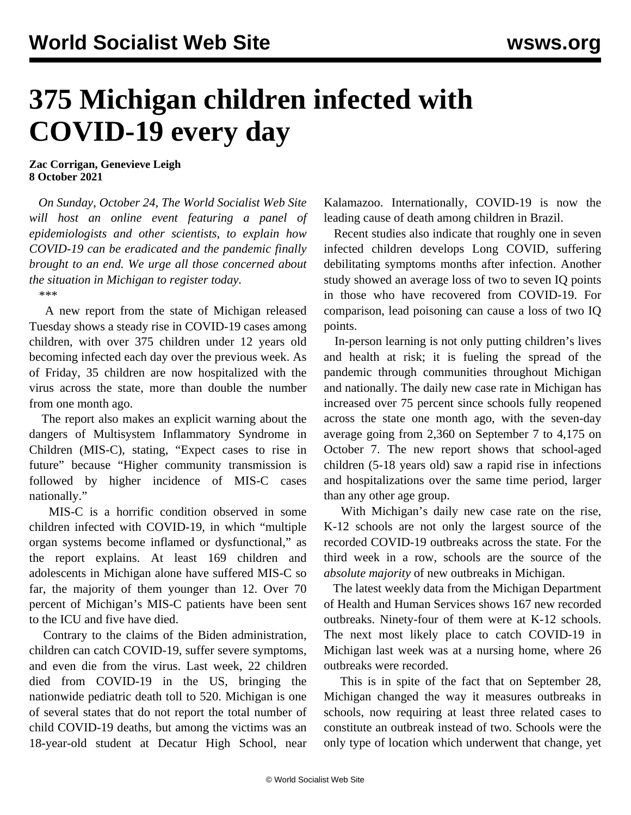## **375 Michigan children infected with COVID-19 every day**

**Zac Corrigan, Genevieve Leigh 8 October 2021**

 *On Sunday, October 24, The World Socialist Web Site will host an online event featuring a panel of epidemiologists and other scientists, to explain how COVID-19 can be eradicated and the pandemic finally brought to an end. We urge all those concerned about the situation in Michigan [to register today.](/en/special/pages/how-to-end-the-pandemic.html)*

*\*\*\**

 A new [report](https://www.michigan.gov/documents/coronavirus/20211005_Data_and_modeling_update_vMEDIA_737659_7.pdf) from the state of Michigan released Tuesday shows a steady rise in COVID-19 cases among children, with over 375 children under 12 years old becoming infected each day over the previous week. As of Friday, 35 children are now hospitalized with the virus across the state, more than double the number from one month ago.

 The report also makes an explicit warning about the dangers of Multisystem Inflammatory Syndrome in Children (MIS-C), stating, "Expect cases to rise in future" because "Higher community transmission is followed by higher incidence of MIS-C cases nationally."

 MIS-C is a horrific condition observed in some children infected with COVID-19, in which "multiple organ systems become inflamed or dysfunctional," as the report explains. At least 169 children and adolescents in Michigan alone have suffered MIS-C so far, the majority of them younger than 12. Over 70 percent of Michigan's MIS-C patients have been sent to the ICU and five have died.

 Contrary to the claims of the Biden administration, children can catch COVID-19, suffer severe symptoms, and even die from the virus. Last week, 22 children died from COVID-19 in the US, bringing the nationwide pediatric death toll to 520. Michigan is one of several states that do not report the total number of child COVID-19 deaths, but among the victims was an 18-year-old student at Decatur High School, near

Kalamazoo. Internationally, COVID-19 is now the leading cause of death among children in Brazil.

 Recent studies also indicate that roughly one in seven infected children develops Long COVID, suffering debilitating symptoms months after infection. Another study showed an average loss of two to seven IQ points in those who have recovered from COVID-19. For comparison, lead poisoning can cause a loss of two IQ points.

 In-person learning is not only putting children's lives and health at risk; it is fueling the spread of the pandemic through communities throughout Michigan and nationally. The daily new case rate in Michigan has increased over 75 percent since schools fully reopened across the state one month ago, with the seven-day average going from 2,360 on September 7 to 4,175 on October 7. The new report shows that school-aged children (5-18 years old) saw a rapid rise in infections and hospitalizations over the same time period, larger than any other age group.

 With Michigan's daily new case rate on the rise, K-12 schools are not only the largest source of the recorded COVID-19 outbreaks across the state. For the third week in a row, schools are the source of the *absolute majority* of new outbreaks in Michigan.

 The latest weekly data from the Michigan Department of Health and Human Services shows 167 new recorded outbreaks. Ninety-four of them were at K-12 schools. The next most likely place to catch COVID-19 in Michigan last week was at a nursing home, where 26 outbreaks were recorded.

 This is in spite of the fact that on September 28, Michigan changed the way it measures outbreaks in schools, now requiring at least three related cases to constitute an outbreak instead of two. Schools were the only type of location which underwent that change, yet